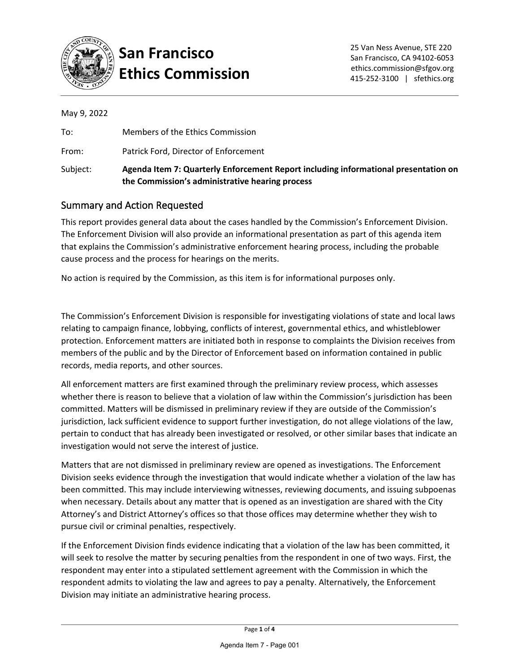

### **San Francisco Ethics Commission**

|  | May 9, 2022 |
|--|-------------|
|  |             |

| Subject: | Agenda Item 7: Quarterly Enforcement Report including informational presentation on<br>the Commission's administrative hearing process |
|----------|----------------------------------------------------------------------------------------------------------------------------------------|
| From:    | Patrick Ford, Director of Enforcement                                                                                                  |
| To:      | Members of the Ethics Commission                                                                                                       |

#### Summary and Action Requested

This report provides general data about the cases handled by the Commission's Enforcement Division. The Enforcement Division will also provide an informational presentation as part of this agenda item that explains the Commission's administrative enforcement hearing process, including the probable cause process and the process for hearings on the merits.

No action is required by the Commission, as this item is for informational purposes only.

The Commission's Enforcement Division is responsible for investigating violations of state and local laws relating to campaign finance, lobbying, conflicts of interest, governmental ethics, and whistleblower protection. Enforcement matters are initiated both in response to complaints the Division receives from members of the public and by the Director of Enforcement based on information contained in public records, media reports, and other sources.

All enforcement matters are first examined through the preliminary review process, which assesses whether there is reason to believe that a violation of law within the Commission's jurisdiction has been committed. Matters will be dismissed in preliminary review if they are outside of the Commission's jurisdiction, lack sufficient evidence to support further investigation, do not allege violations of the law, pertain to conduct that has already been investigated or resolved, or other similar bases that indicate an investigation would not serve the interest of justice.

Matters that are not dismissed in preliminary review are opened as investigations. The Enforcement Division seeks evidence through the investigation that would indicate whether a violation of the law has been committed. This may include interviewing witnesses, reviewing documents, and issuing subpoenas when necessary. Details about any matter that is opened as an investigation are shared with the City Attorney's and District Attorney's offices so that those offices may determine whether they wish to pursue civil or criminal penalties, respectively.

If the Enforcement Division finds evidence indicating that a violation of the law has been committed, it will seek to resolve the matter by securing penalties from the respondent in one of two ways. First, the respondent may enter into a stipulated settlement agreement with the Commission in which the respondent admits to violating the law and agrees to pay a penalty. Alternatively, the Enforcement Division may initiate an administrative hearing process.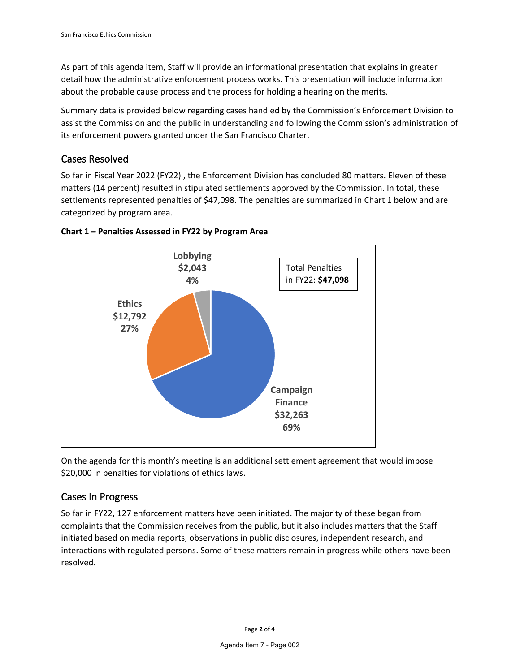As part of this agenda item, Staff will provide an informational presentation that explains in greater detail how the administrative enforcement process works. This presentation will include information about the probable cause process and the process for holding a hearing on the merits.

Summary data is provided below regarding cases handled by the Commission's Enforcement Division to assist the Commission and the public in understanding and following the Commission's administration of its enforcement powers granted under the San Francisco Charter.

#### Cases Resolved

So far in Fiscal Year 2022 (FY22) , the Enforcement Division has concluded 80 matters. Eleven of these matters (14 percent) resulted in stipulated settlements approved by the Commission. In total, these settlements represented penalties of \$47,098. The penalties are summarized in Chart 1 below and are categorized by program area.





On the agenda for this month's meeting is an additional settlement agreement that would impose \$20,000 in penalties for violations of ethics laws.

#### Cases In Progress

So far in FY22, 127 enforcement matters have been initiated. The majority of these began from complaints that the Commission receives from the public, but it also includes matters that the Staff initiated based on media reports, observations in public disclosures, independent research, and interactions with regulated persons. Some of these matters remain in progress while others have been resolved.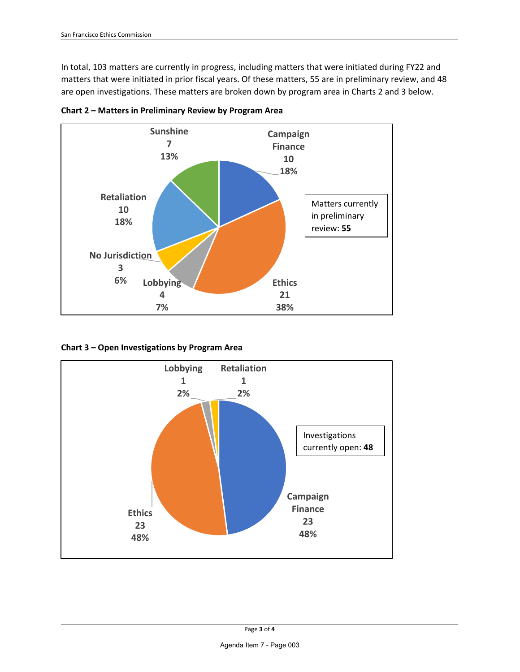In total, 103 matters are currently in progress, including matters that were initiated during FY22 and matters that were initiated in prior fiscal years. Of these matters, 55 are in preliminary review, and 48 are open investigations. These matters are broken down by program area in Charts 2 and 3 below.



**Chart 2 – Matters in Preliminary Review by Program Area** 

**Chart 3 – Open Investigations by Program Area** 

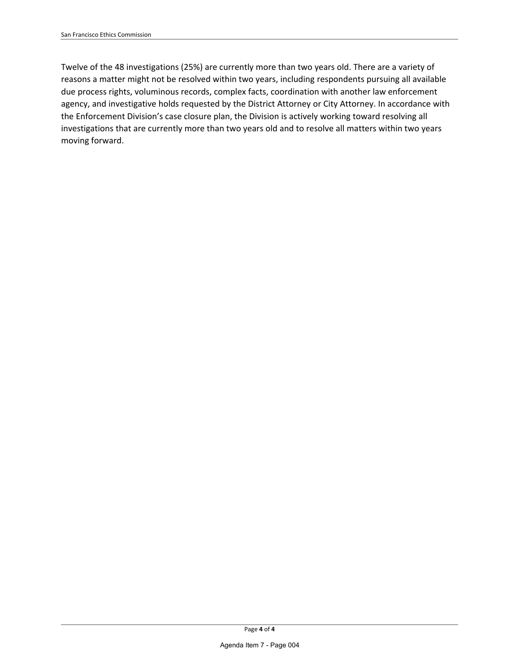Twelve of the 48 investigations (25%) are currently more than two years old. There are a variety of reasons a matter might not be resolved within two years, including respondents pursuing all available due process rights, voluminous records, complex facts, coordination with another law enforcement agency, and investigative holds requested by the District Attorney or City Attorney. In accordance with the Enforcement Division's case closure plan, the Division is actively working toward resolving all investigations that are currently more than two years old and to resolve all matters within two years moving forward.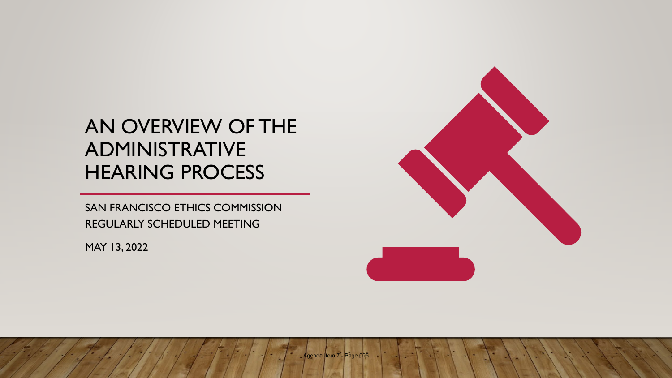## AN OVERVIEW OF THE ADMINISTRATIVE HEARING PROCESS

SAN FRANCISCO ETHICS COMMISSION REGULARLY SCHEDULED MEETING

MAY 13, 2022

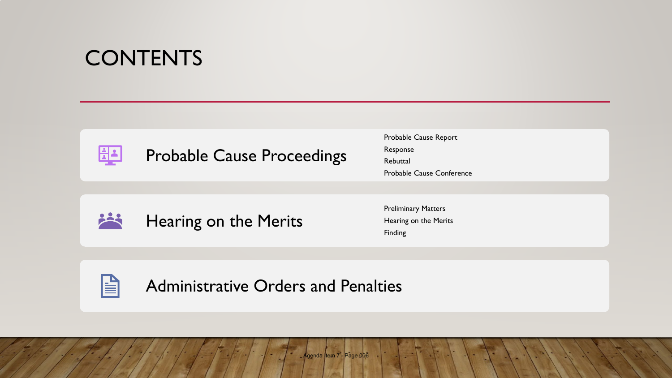## **CONTENTS**



Probable Cause Proceedings

Probable Cause Report Response Rebuttal Probable Cause Conference



Hearing on the Merits

Preliminary Matters Hearing on the Merits Finding



Administrative Orders and Penalties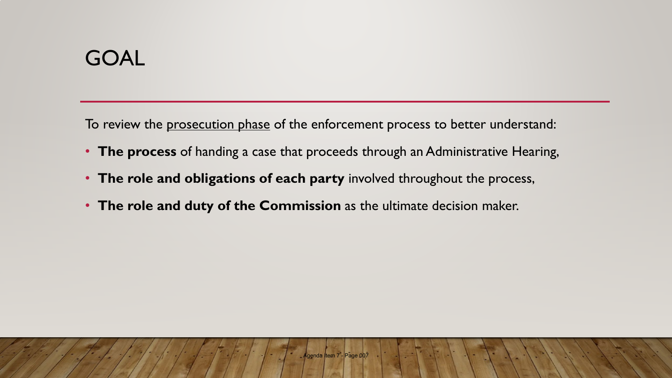## GOAL

To review the prosecution phase of the enforcement process to better understand:

- **The process** of handing a case that proceeds through an Administrative Hearing,
- **The role and obligations of each party** involved throughout the process,
- **The role and duty of the Commission** as the ultimate decision maker.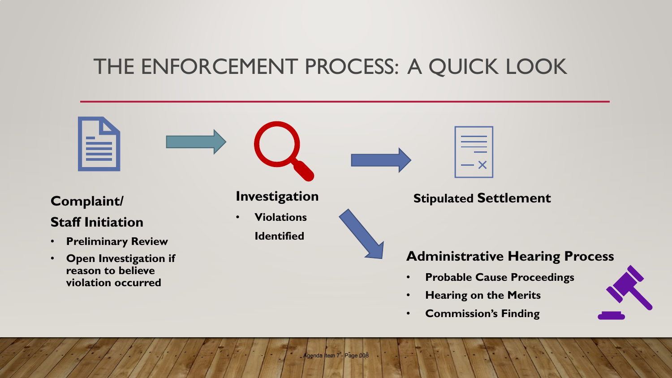## THE ENFORCEMENT PROCESS: A QUICK LOOK



• **Commission's Finding**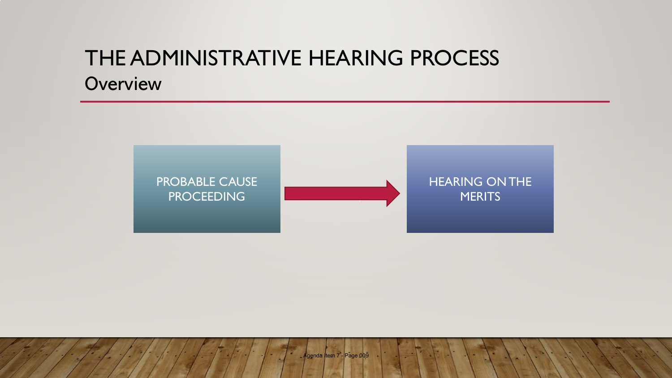## THE ADMINISTRATIVE HEARING PROCESS **Overview**

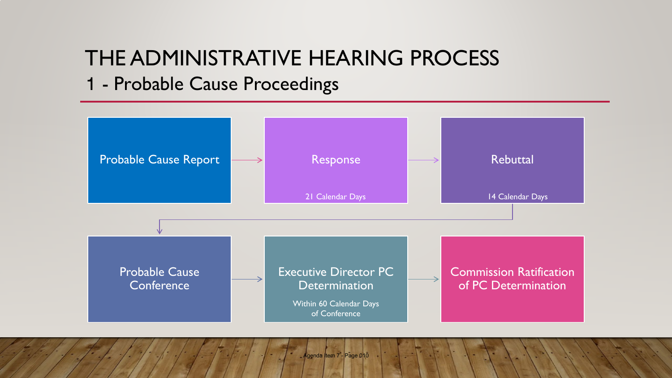## THE ADMINISTRATIVE HEARING PROCESS

## 1 - Probable Cause Proceedings

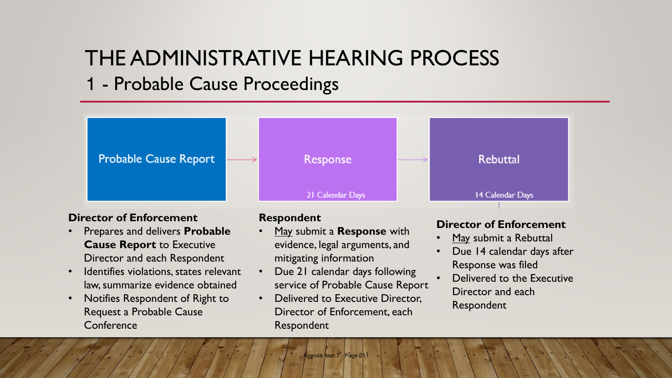## THE ADMINISTRATIVE HEARING PROCESS

## 1 - Probable Cause Proceedings

**Probable Cause Report** Response **Rebuttal** 21 Calendar Days 14 Calendar Days

### **Director of Enforcement**

- Prepares and delivers **Probable Cause Report** to Executive Director and each Respondent
- Identifies violations, states relevant law, summarize evidence obtained
- Notifies Respondent of Right to Request a Probable Cause **Conference**

### **Respondent**

- May submit a **Response** with evidence, legal arguments, and mitigating information
- Due 21 calendar days following service of Probable Cause Report
- Delivered to Executive Director. Director of Enforcement, each Respondent

### **Director of Enforcement**

- May submit a Rebuttal
- Due 14 calendar days after Response was filed
- Delivered to the Executive Director and each Respondent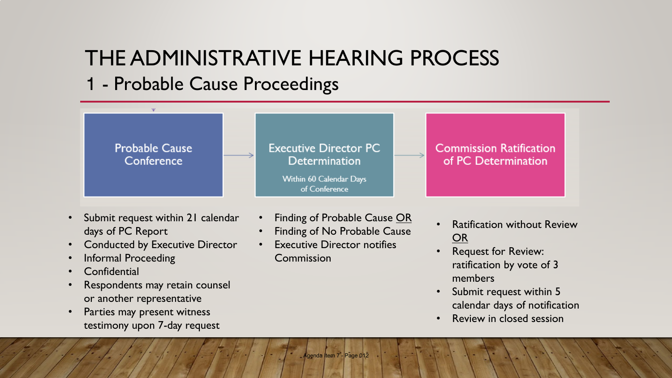# THE ADMINISTRATIVE HEARING PROCESS

## 1 - Probable Cause Proceedings



- Submit request within 21 calendar days of PC Report
- Conducted by Executive Director
- Informal Proceeding
- **Confidential**
- Respondents may retain counsel or another representative
- Parties may present witness testimony upon 7-day request
- Finding of Probable Cause OR
- Finding of No Probable Cause
- **Executive Director notifies** Commission
- **Ratification without Review** OR
- Request for Review: ratification by vote of 3 members
- Submit request within 5 calendar days of notification
- Review in closed session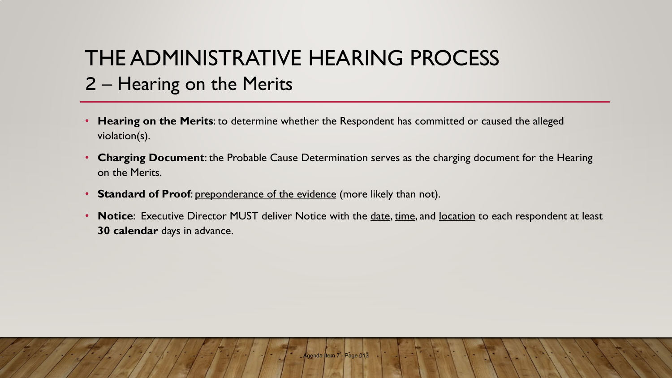# THE ADMINISTRATIVE HEARING PROCESS 2 – Hearing on the Merits

- **Hearing on the Merits**: to determine whether the Respondent has committed or caused the alleged violation(s).
- **Charging Document**: the Probable Cause Determination serves as the charging document for the Hearing on the Merits.
- **Standard of Proof**: preponderance of the evidence (more likely than not).
- **Notice**: Executive Director MUST deliver Notice with the date, time, and location to each respondent at least **30 calendar** days in advance.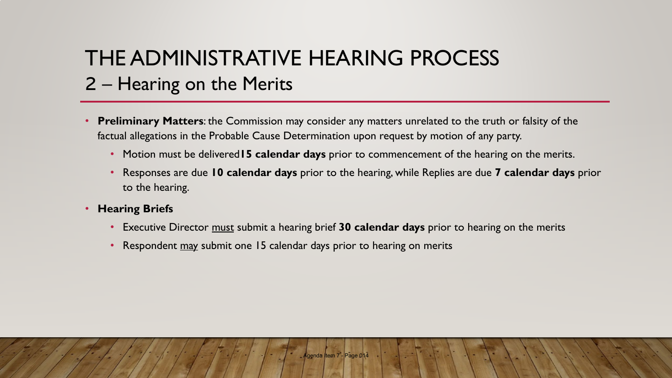# THE ADMINISTRATIVE HEARING PROCESS 2 – Hearing on the Merits

- **Preliminary Matters**: the Commission may consider any matters unrelated to the truth or falsity of the factual allegations in the Probable Cause Determination upon request by motion of any party.
	- Motion must be delivered**15 calendar days** prior to commencement of the hearing on the merits.
	- Responses are due **10 calendar days** prior to the hearing, while Replies are due **7 calendar days** prior to the hearing.
- **Hearing Briefs**
	- Executive Director must submit a hearing brief **30 calendar days** prior to hearing on the merits
	- Respondent may submit one 15 calendar days prior to hearing on merits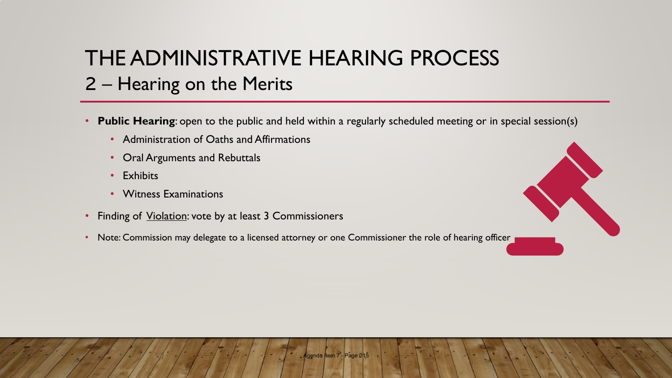# THE ADMINISTRATIVE HEARING PROCESS 2 – Hearing on the Merits

- **Public Hearing**: open to the public and held within a regularly scheduled meeting or in special session(s)
	- Administration of Oaths and Affirmations
	- Oral Arguments and Rebuttals
	- Exhibits
	- Witness Examinations
- Finding of *Violation:* vote by at least 3 Commissioners
- Note: Commission may delegate to a licensed attorney or one Commissioner the role of hearing officer

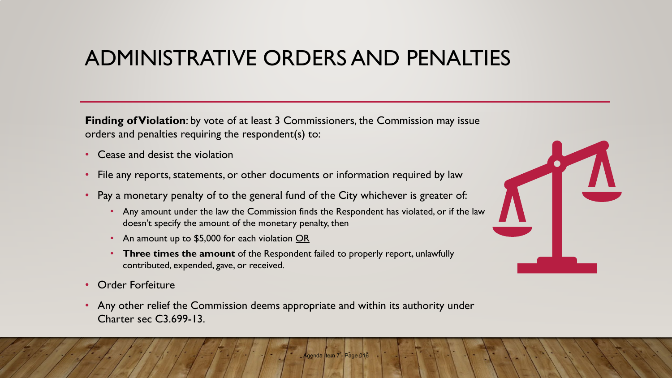## ADMINISTRATIVE ORDERS AND PENALTIES

**Finding of Violation**: by vote of at least 3 Commissioners, the Commission may issue orders and penalties requiring the respondent(s) to:

- Cease and desist the violation
- File any reports, statements, or other documents or information required by law
- Pay a monetary penalty of to the general fund of the City whichever is greater of:
	- Any amount under the law the Commission finds the Respondent has violated, or if the law doesn't specify the amount of the monetary penalty, then
	- An amount up to \$5,000 for each violation OR
	- **Three times the amount** of the Respondent failed to properly report, unlawfully contributed, expended, gave, or received.
- Order Forfeiture
- Any other relief the Commission deems appropriate and within its authority under Charter sec C3.699-13.